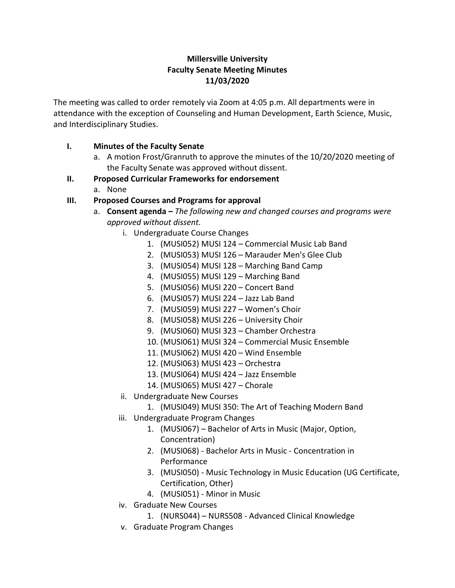### **Millersville University Faculty Senate Meeting Minutes 11/03/2020**

The meeting was called to order remotely via Zoom at 4:05 p.m. All departments were in attendance with the exception of Counseling and Human Development, Earth Science, Music, and Interdisciplinary Studies.

### **I. Minutes of the Faculty Senate**

a. A motion Frost/Granruth to approve the minutes of the 10/20/2020 meeting of the Faculty Senate was approved without dissent.

### **II. Proposed Curricular Frameworks for endorsement**

a. None

# **III. Proposed Courses and Programs for approval**

- a. **Consent agenda –** *The following new and changed courses and programs were approved without dissent.*
	- i. Undergraduate Course Changes
		- 1. (MUSI052) MUSI 124 Commercial Music Lab Band
		- 2. (MUSI053) MUSI 126 Marauder Men's Glee Club
		- 3. (MUSI054) MUSI 128 Marching Band Camp
		- 4. (MUSI055) MUSI 129 Marching Band
		- 5. (MUSI056) MUSI 220 Concert Band
		- 6. (MUSI057) MUSI 224 Jazz Lab Band
		- 7. (MUSI059) MUSI 227 Women's Choir
		- 8. (MUSI058) MUSI 226 University Choir
		- 9. (MUSI060) MUSI 323 Chamber Orchestra
		- 10. (MUSI061) MUSI 324 Commercial Music Ensemble
		- 11. (MUSI062) MUSI 420 Wind Ensemble
		- 12. (MUSI063) MUSI 423 Orchestra
		- 13. (MUSI064) MUSI 424 Jazz Ensemble
		- 14. (MUSI065) MUSI 427 Chorale
	- ii. Undergraduate New Courses
		- 1. (MUSI049) MUSI 350: The Art of Teaching Modern Band
	- iii. Undergraduate Program Changes
		- 1. (MUSI067) Bachelor of Arts in Music (Major, Option, Concentration)
		- 2. (MUSI068) Bachelor Arts in Music Concentration in Performance
		- 3. (MUSI050) Music Technology in Music Education (UG Certificate, Certification, Other)
		- 4. (MUSI051) Minor in Music
	- iv. Graduate New Courses
		- 1. (NURS044) NURS508 Advanced Clinical Knowledge
	- v. Graduate Program Changes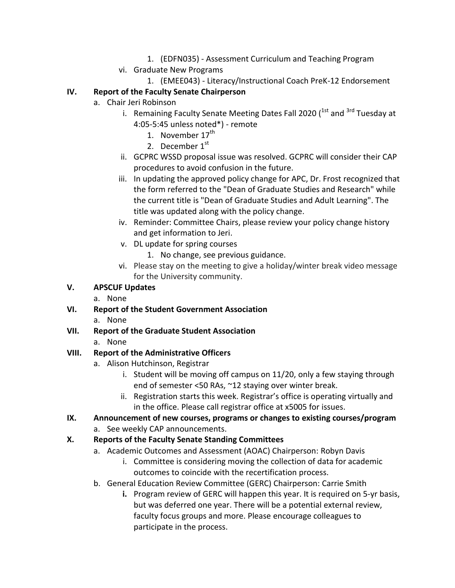- 1. (EDFN035) Assessment Curriculum and Teaching Program
- vi. Graduate New Programs
	- 1. (EMEE043) Literacy/Instructional Coach PreK-12 Endorsement

# **IV. Report of the Faculty Senate Chairperson**

- a. Chair Jeri Robinson
	- i. Remaining Faculty Senate Meeting Dates Fall 2020 (<sup>1st</sup> and <sup>3rd</sup> Tuesday at 4:05-5:45 unless noted\*) - remote
		- 1. November  $17^{th}$
		- 2. December  $1<sup>st</sup>$
	- ii. GCPRC WSSD proposal issue was resolved. GCPRC will consider their CAP procedures to avoid confusion in the future.
	- iii. In updating the approved policy change for APC, Dr. Frost recognized that the form referred to the "Dean of Graduate Studies and Research" while the current title is "Dean of Graduate Studies and Adult Learning". The title was updated along with the policy change.
	- iv. Reminder: Committee Chairs, please review your policy change history and get information to Jeri.
	- v. DL update for spring courses
		- 1. No change, see previous guidance.
	- vi. Please stay on the meeting to give a holiday/winter break video message for the University community.

# **V. APSCUF Updates**

- a. None
- **VI. Report of the Student Government Association**
	- a. None
- **VII. Report of the Graduate Student Association**
	- a. None

# **VIII. Report of the Administrative Officers**

- a. Alison Hutchinson, Registrar
	- i. Student will be moving off campus on 11/20, only a few staying through end of semester <50 RAs, ~12 staying over winter break.
	- ii. Registration starts this week. Registrar's office is operating virtually and in the office. Please call registrar office at x5005 for issues.
- **IX. Announcement of new courses, programs or changes to existing courses/program** a. See weekly CAP announcements.

# **X. Reports of the Faculty Senate Standing Committees**

- a. Academic Outcomes and Assessment (AOAC) Chairperson: Robyn Davis
	- i. Committee is considering moving the collection of data for academic outcomes to coincide with the recertification process.
- b. General Education Review Committee (GERC) Chairperson: Carrie Smith
	- **i.** Program review of GERC will happen this year. It is required on 5-yr basis, but was deferred one year. There will be a potential external review, faculty focus groups and more. Please encourage colleagues to participate in the process.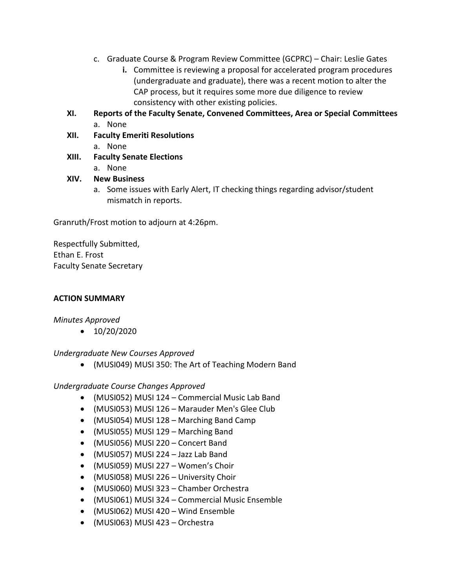- c. Graduate Course & Program Review Committee (GCPRC) Chair: Leslie Gates
	- **i.** Committee is reviewing a proposal for accelerated program procedures (undergraduate and graduate), there was a recent motion to alter the CAP process, but it requires some more due diligence to review consistency with other existing policies.
- **XI. Reports of the Faculty Senate, Convened Committees, Area or Special Committees** a. None
- **XII. Faculty Emeriti Resolutions**
- a. None **XIII. Faculty Senate Elections**
	- a. None
- **XIV. New Business**
	- a. Some issues with Early Alert, IT checking things regarding advisor/student mismatch in reports.

Granruth/Frost motion to adjourn at 4:26pm.

Respectfully Submitted, Ethan E. Frost Faculty Senate Secretary

### **ACTION SUMMARY**

*Minutes Approved*

 $\bullet$  10/20/2020

*Undergraduate New Courses Approved*

(MUSI049) MUSI 350: The Art of Teaching Modern Band

#### *Undergraduate Course Changes Approved*

- (MUSI052) MUSI 124 Commercial Music Lab Band
- (MUSI053) MUSI 126 Marauder Men's Glee Club
- (MUSI054) MUSI 128 Marching Band Camp
- (MUSI055) MUSI 129 Marching Band
- (MUSI056) MUSI 220 Concert Band
- (MUSI057) MUSI 224 Jazz Lab Band
- (MUSI059) MUSI 227 Women's Choir
- (MUSI058) MUSI 226 University Choir
- (MUSI060) MUSI 323 Chamber Orchestra
- (MUSI061) MUSI 324 Commercial Music Ensemble
- (MUSI062) MUSI 420 Wind Ensemble
- (MUSI063) MUSI 423 Orchestra